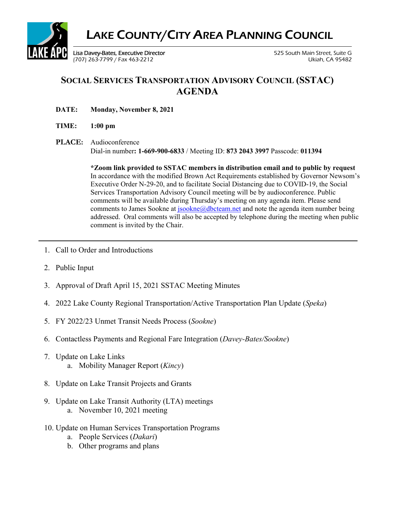

## **SOCIAL SERVICES TRANSPORTATION ADVISORY COUNCIL (SSTAC) AGENDA**

- **DATE: Monday, November 8, 2021**
- **TIME: 1:00 pm**
- **PLACE:** Audioconference Dial-in number**: 1-669-900-6833** / Meeting ID: **873 2043 3997** Passcode: **011394**

**\*Zoom link provided to SSTAC members in distribution email and to public by request**  In accordance with the modified Brown Act Requirements established by Governor Newsom's Executive Order N-29-20, and to facilitate Social Distancing due to COVID-19, the Social Services Transportation Advisory Council meeting will be by audioconference. Public comments will be available during Thursday's meeting on any agenda item. Please send comments to James Sookne at  $\frac{jookne(\partial, \partial, \partial \partial)}{isockne(n\partial, \partial, \partial)}$  and note the agenda item number being addressed. Oral comments will also be accepted by telephone during the meeting when public comment is invited by the Chair.

- 1. Call to Order and Introductions
- 2. Public Input
- 3. Approval of Draft April 15, 2021 SSTAC Meeting Minutes
- 4. 2022 Lake County Regional Transportation/Active Transportation Plan Update (*Speka*)
- 5. FY 2022/23 Unmet Transit Needs Process (*Sookne*)
- 6. Contactless Payments and Regional Fare Integration (*Davey-Bates/Sookne*)
- 7. Update on Lake Links a. Mobility Manager Report (*Kincy*)
- 8. Update on Lake Transit Projects and Grants
- 9. Update on Lake Transit Authority (LTA) meetings a. November 10, 2021 meeting
- 10. Update on Human Services Transportation Programs
	- a. People Services (*Dakari*)
	- b. Other programs and plans